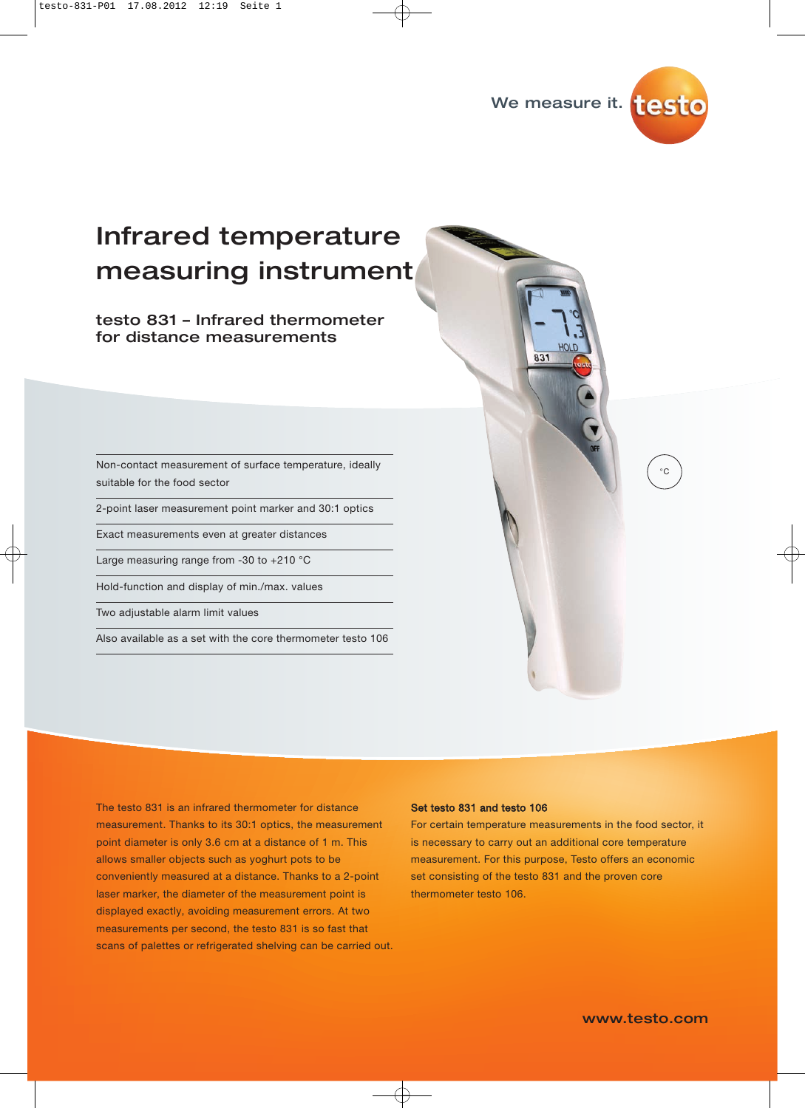

# Infrared temperature measuring instrument

### testo 831 – Infrared thermometer for distance measurements

Non-contact measurement of surface temperature, ideally suitable for the food sector

2-point laser measurement point marker and 30:1 optics

Exact measurements even at greater distances

Large measuring range from -30 to +210 °C

Hold-function and display of min./max. values

Two adjustable alarm limit values

Also available as a set with the core thermometer testo 106

The testo 831 is an infrared thermometer for distance measurement. Thanks to its 30:1 optics, the measurement point diameter is only 3.6 cm at a distance of 1 m. This allows smaller objects such as yoghurt pots to be conveniently measured at a distance. Thanks to a 2-point laser marker, the diameter of the measurement point is displayed exactly, avoiding measurement errors. At two measurements per second, the testo 831 is so fast that scans of palettes or refrigerated shelving can be carried out.

#### Set testo 831 and testo 106

For certain temperature measurements in the food sector, it is necessary to carry out an additional core temperature measurement. For this purpose, Testo offers an economic set consisting of the testo 831 and the proven core thermometer testo 106.

 $\circ$ c